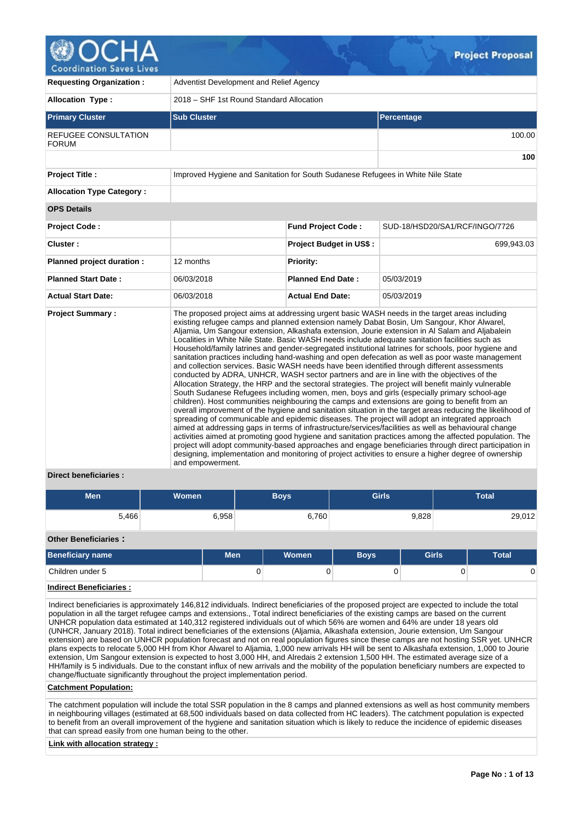| <b>Requesting Organization:</b>                                                                          | Adventist Development and Relief Agency  |                                |                                                                                                                                                                                                                                                                                                                                                                                                                                                                                                                                                                                                                                                                                                                                                                                                                                                                                                                                                                                                                                                                                                                                                                                                                                                                                                                                                                                                                                                                                                                                                                                                                                                                                                                                                                           |  |  |  |  |  |  |
|----------------------------------------------------------------------------------------------------------|------------------------------------------|--------------------------------|---------------------------------------------------------------------------------------------------------------------------------------------------------------------------------------------------------------------------------------------------------------------------------------------------------------------------------------------------------------------------------------------------------------------------------------------------------------------------------------------------------------------------------------------------------------------------------------------------------------------------------------------------------------------------------------------------------------------------------------------------------------------------------------------------------------------------------------------------------------------------------------------------------------------------------------------------------------------------------------------------------------------------------------------------------------------------------------------------------------------------------------------------------------------------------------------------------------------------------------------------------------------------------------------------------------------------------------------------------------------------------------------------------------------------------------------------------------------------------------------------------------------------------------------------------------------------------------------------------------------------------------------------------------------------------------------------------------------------------------------------------------------------|--|--|--|--|--|--|
| <b>Allocation Type:</b>                                                                                  | 2018 - SHF 1st Round Standard Allocation |                                |                                                                                                                                                                                                                                                                                                                                                                                                                                                                                                                                                                                                                                                                                                                                                                                                                                                                                                                                                                                                                                                                                                                                                                                                                                                                                                                                                                                                                                                                                                                                                                                                                                                                                                                                                                           |  |  |  |  |  |  |
| <b>Primary Cluster</b>                                                                                   | <b>Sub Cluster</b>                       | Percentage                     |                                                                                                                                                                                                                                                                                                                                                                                                                                                                                                                                                                                                                                                                                                                                                                                                                                                                                                                                                                                                                                                                                                                                                                                                                                                                                                                                                                                                                                                                                                                                                                                                                                                                                                                                                                           |  |  |  |  |  |  |
| <b>REFUGEE CONSULTATION</b><br><b>FORUM</b>                                                              |                                          |                                |                                                                                                                                                                                                                                                                                                                                                                                                                                                                                                                                                                                                                                                                                                                                                                                                                                                                                                                                                                                                                                                                                                                                                                                                                                                                                                                                                                                                                                                                                                                                                                                                                                                                                                                                                                           |  |  |  |  |  |  |
|                                                                                                          |                                          |                                |                                                                                                                                                                                                                                                                                                                                                                                                                                                                                                                                                                                                                                                                                                                                                                                                                                                                                                                                                                                                                                                                                                                                                                                                                                                                                                                                                                                                                                                                                                                                                                                                                                                                                                                                                                           |  |  |  |  |  |  |
| <b>Project Title:</b><br>Improved Hygiene and Sanitation for South Sudanese Refugees in White Nile State |                                          |                                |                                                                                                                                                                                                                                                                                                                                                                                                                                                                                                                                                                                                                                                                                                                                                                                                                                                                                                                                                                                                                                                                                                                                                                                                                                                                                                                                                                                                                                                                                                                                                                                                                                                                                                                                                                           |  |  |  |  |  |  |
| <b>Allocation Type Category:</b>                                                                         |                                          |                                |                                                                                                                                                                                                                                                                                                                                                                                                                                                                                                                                                                                                                                                                                                                                                                                                                                                                                                                                                                                                                                                                                                                                                                                                                                                                                                                                                                                                                                                                                                                                                                                                                                                                                                                                                                           |  |  |  |  |  |  |
| <b>OPS Details</b>                                                                                       |                                          |                                |                                                                                                                                                                                                                                                                                                                                                                                                                                                                                                                                                                                                                                                                                                                                                                                                                                                                                                                                                                                                                                                                                                                                                                                                                                                                                                                                                                                                                                                                                                                                                                                                                                                                                                                                                                           |  |  |  |  |  |  |
| <b>Project Code:</b>                                                                                     |                                          | <b>Fund Project Code:</b>      | SUD-18/HSD20/SA1/RCF/INGO/7726                                                                                                                                                                                                                                                                                                                                                                                                                                                                                                                                                                                                                                                                                                                                                                                                                                                                                                                                                                                                                                                                                                                                                                                                                                                                                                                                                                                                                                                                                                                                                                                                                                                                                                                                            |  |  |  |  |  |  |
| Cluster:                                                                                                 |                                          | <b>Project Budget in US\$:</b> | 699,943.03                                                                                                                                                                                                                                                                                                                                                                                                                                                                                                                                                                                                                                                                                                                                                                                                                                                                                                                                                                                                                                                                                                                                                                                                                                                                                                                                                                                                                                                                                                                                                                                                                                                                                                                                                                |  |  |  |  |  |  |
| Planned project duration :                                                                               | 12 months                                | <b>Priority:</b>               |                                                                                                                                                                                                                                                                                                                                                                                                                                                                                                                                                                                                                                                                                                                                                                                                                                                                                                                                                                                                                                                                                                                                                                                                                                                                                                                                                                                                                                                                                                                                                                                                                                                                                                                                                                           |  |  |  |  |  |  |
| <b>Planned Start Date:</b>                                                                               | 06/03/2018                               | <b>Planned End Date:</b>       | 05/03/2019                                                                                                                                                                                                                                                                                                                                                                                                                                                                                                                                                                                                                                                                                                                                                                                                                                                                                                                                                                                                                                                                                                                                                                                                                                                                                                                                                                                                                                                                                                                                                                                                                                                                                                                                                                |  |  |  |  |  |  |
| <b>Actual Start Date:</b>                                                                                | 06/03/2018                               | <b>Actual End Date:</b>        | 05/03/2019                                                                                                                                                                                                                                                                                                                                                                                                                                                                                                                                                                                                                                                                                                                                                                                                                                                                                                                                                                                                                                                                                                                                                                                                                                                                                                                                                                                                                                                                                                                                                                                                                                                                                                                                                                |  |  |  |  |  |  |
| <b>Project Summary:</b>                                                                                  | and empowerment.                         |                                | The proposed project aims at addressing urgent basic WASH needs in the target areas including<br>existing refugee camps and planned extension namely Dabat Bosin, Um Sangour, Khor Alwarel,<br>Aljamia, Um Sangour extension, Alkashafa extension, Jourie extension in Al Salam and Aljabalein<br>Localities in White Nile State. Basic WASH needs include adequate sanitation facilities such as<br>Household/family latrines and gender-segregated institutional latrines for schools, poor hygiene and<br>sanitation practices including hand-washing and open defecation as well as poor waste management<br>and collection services. Basic WASH needs have been identified through different assessments<br>conducted by ADRA, UNHCR, WASH sector partners and are in line with the objectives of the<br>Allocation Strategy, the HRP and the sectoral strategies. The project will benefit mainly vulnerable<br>South Sudanese Refugees including women, men, boys and girls (especially primary school-age<br>children). Host communities neighbouring the camps and extensions are going to benefit from an<br>overall improvement of the hygiene and sanitation situation in the target areas reducing the likelihood of<br>spreading of communicable and epidemic diseases. The project will adopt an integrated approach<br>aimed at addressing gaps in terms of infrastructure/services/facilities as well as behavioural change<br>activities aimed at promoting good hygiene and sanitation practices among the affected population. The<br>project will adopt community-based approaches and engage beneficiaries through direct participation in<br>designing, implementation and monitoring of project activities to ensure a higher degree of ownership |  |  |  |  |  |  |

# **Direct beneficiaries :**

| <b>Men</b>                  | <b>Women</b> | <b>Boys</b> | <b>Girls</b> | <b>Total</b> |
|-----------------------------|--------------|-------------|--------------|--------------|
| 5,466                       | 6,958        | 6,760       | 9,828        | 29,012       |
| <b>Other Beneficiaries:</b> |              |             |              |              |

| Beneficiary name | Men | <b>Women</b> | <b>Bovs</b> | <b>Girls</b> | <b>Total</b> |
|------------------|-----|--------------|-------------|--------------|--------------|
| Children under 5 | u   |              |             |              |              |

# **Indirect Beneficiaries :**

Indirect beneficiaries is approximately 146,812 individuals. Indirect beneficiaries of the proposed project are expected to include the total population in all the target refugee camps and extensions., Total indirect beneficiaries of the existing camps are based on the current UNHCR population data estimated at 140,312 registered individuals out of which 56% are women and 64% are under 18 years old (UNHCR, January 2018). Total indirect beneficiaries of the extensions (Aljamia, Alkashafa extension, Jourie extension, Um Sangour extension) are based on UNHCR population forecast and not on real population figures since these camps are not hosting SSR yet. UNHCR plans expects to relocate 5,000 HH from Khor Alwarel to Aljamia, 1,000 new arrivals HH will be sent to Alkashafa extension, 1,000 to Jourie extension, Um Sangour extension is expected to host 3,000 HH, and Alredais 2 extension 1,500 HH. The estimated average size of a HH/family is 5 individuals. Due to the constant influx of new arrivals and the mobility of the population beneficiary numbers are expected to change/fluctuate significantly throughout the project implementation period.

### **Catchment Population:**

The catchment population will include the total SSR population in the 8 camps and planned extensions as well as host community members in neighbouring villages (estimated at 68,500 individuals based on data collected from HC leaders). The catchment population is expected to benefit from an overall improvement of the hygiene and sanitation situation which is likely to reduce the incidence of epidemic diseases that can spread easily from one human being to the other.

### **Link with allocation strategy :**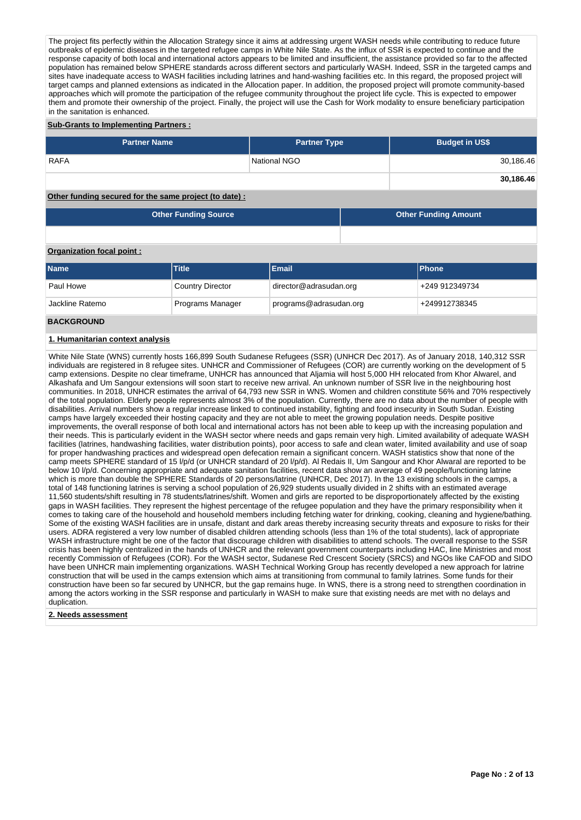The project fits perfectly within the Allocation Strategy since it aims at addressing urgent WASH needs while contributing to reduce future outbreaks of epidemic diseases in the targeted refugee camps in White Nile State. As the influx of SSR is expected to continue and the response capacity of both local and international actors appears to be limited and insufficient, the assistance provided so far to the affected population has remained below SPHERE standards across different sectors and particularly WASH. Indeed, SSR in the targeted camps and sites have inadequate access to WASH facilities including latrines and hand-washing facilities etc. In this regard, the proposed project will target camps and planned extensions as indicated in the Allocation paper. In addition, the proposed project will promote community-based approaches which will promote the participation of the refugee community throughout the project life cycle. This is expected to empower them and promote their ownership of the project. Finally, the project will use the Cash for Work modality to ensure beneficiary participation in the sanitation is enhanced.

# **Sub-Grants to Implementing Partners :**

| <b>Partner Name</b>                                               | <b>Partner Type</b> | <b>Budget in US\$</b> |
|-------------------------------------------------------------------|---------------------|-----------------------|
| <b>RAFA</b>                                                       | National NGO        | 30,186.46             |
|                                                                   |                     | 30,186.46             |
| Attendance the contract of the theory and the state of the state. |                     |                       |

### **Other funding secured for the same project (to date) :**

| <b>Other Funding Source</b> | <b>Other Funding Amount</b> |
|-----------------------------|-----------------------------|
|                             |                             |

### **Organization focal point :**

| <b>Name</b>     | <b>Title</b>            | <b>Email</b>           | <b>Phone</b>   |
|-----------------|-------------------------|------------------------|----------------|
| Paul Howe       | <b>Country Director</b> | director@adrasudan.org | +249 912349734 |
| Jackline Ratemo | Programs Manager        | programs@adrasudan.org | +249912738345  |

### **BACKGROUND**

# **1. Humanitarian context analysis**

White Nile State (WNS) currently hosts 166,899 South Sudanese Refugees (SSR) (UNHCR Dec 2017). As of January 2018, 140,312 SSR individuals are registered in 8 refugee sites. UNHCR and Commissioner of Refugees (COR) are currently working on the development of 5 camp extensions. Despite no clear timeframe, UNHCR has announced that Aljamia will host 5,000 HH relocated from Khor Alwarel, and Alkashafa and Um Sangour extensions will soon start to receive new arrival. An unknown number of SSR live in the neighbouring host communities. In 2018, UNHCR estimates the arrival of 64,793 new SSR in WNS. Women and children constitute 56% and 70% respectively of the total population. Elderly people represents almost 3% of the population. Currently, there are no data about the number of people with disabilities. Arrival numbers show a regular increase linked to continued instability, fighting and food insecurity in South Sudan. Existing camps have largely exceeded their hosting capacity and they are not able to meet the growing population needs. Despite positive improvements, the overall response of both local and international actors has not been able to keep up with the increasing population and their needs. This is particularly evident in the WASH sector where needs and gaps remain very high. Limited availability of adequate WASH facilities (latrines, handwashing facilities, water distribution points), poor access to safe and clean water, limited availability and use of soap for proper handwashing practices and widespread open defecation remain a significant concern. WASH statistics show that none of the camp meets SPHERE standard of 15 l/p/d (or UNHCR standard of 20 l/p/d). Al Redais II, Um Sangour and Khor Alwaral are reported to be below 10 l/p/d. Concerning appropriate and adequate sanitation facilities, recent data show an average of 49 people/functioning latrine which is more than double the SPHERE Standards of 20 persons/latrine (UNHCR, Dec 2017). In the 13 existing schools in the camps, a total of 148 functioning latrines is serving a school population of 26,929 students usually divided in 2 shifts with an estimated average 11,560 students/shift resulting in 78 students/latrines/shift. Women and girls are reported to be disproportionately affected by the existing gaps in WASH facilities. They represent the highest percentage of the refugee population and they have the primary responsibility when it comes to taking care of the household and household members including fetching water for drinking, cooking, cleaning and hygiene/bathing. Some of the existing WASH facilities are in unsafe, distant and dark areas thereby increasing security threats and exposure to risks for their users. ADRA registered a very low number of disabled children attending schools (less than 1% of the total students), lack of appropriate WASH infrastructure might be one of the factor that discourage children with disabilities to attend schools. The overall response to the SSR crisis has been highly centralized in the hands of UNHCR and the relevant government counterparts including HAC, line Ministries and most recently Commission of Refugees (COR). For the WASH sector, Sudanese Red Crescent Society (SRCS) and NGOs like CAFOD and SIDO have been UNHCR main implementing organizations. WASH Technical Working Group has recently developed a new approach for latrine construction that will be used in the camps extension which aims at transitioning from communal to family latrines. Some funds for their construction have been so far secured by UNHCR, but the gap remains huge. In WNS, there is a strong need to strengthen coordination in among the actors working in the SSR response and particularly in WASH to make sure that existing needs are met with no delays and duplication.

### **2. Needs assessment**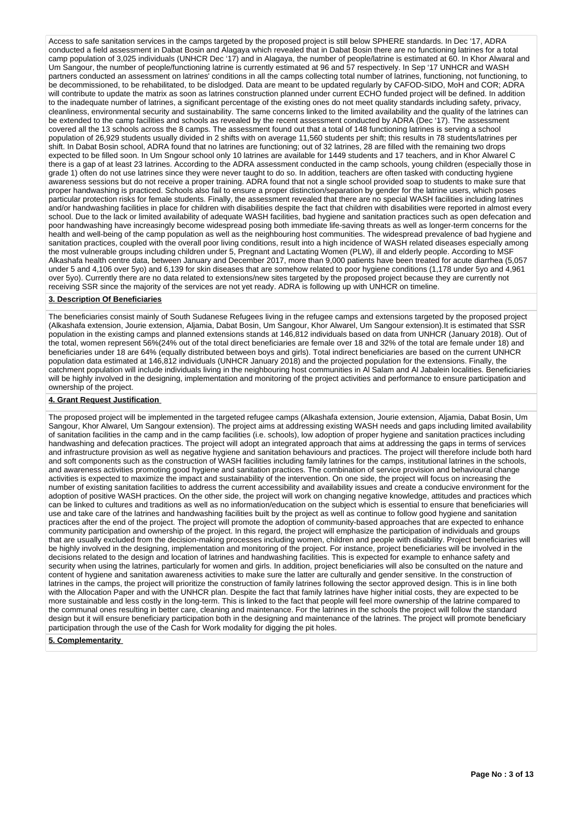Access to safe sanitation services in the camps targeted by the proposed project is still below SPHERE standards. In Dec '17, ADRA conducted a field assessment in Dabat Bosin and Alagaya which revealed that in Dabat Bosin there are no functioning latrines for a total camp population of 3,025 individuals (UNHCR Dec '17) and in Alagaya, the number of people/latrine is estimated at 60. In Khor Alwaral and Um Sangour, the number of people/functioning latrine is currently estimated at 96 and 57 respectively. In Sep '17 UNHCR and WASH partners conducted an assessment on latrines' conditions in all the camps collecting total number of latrines, functioning, not functioning, to be decommissioned, to be rehabilitated, to be dislodged. Data are meant to be updated regularly by CAFOD-SIDO, MoH and COR; ADRA will contribute to update the matrix as soon as latrines construction planned under current ECHO funded project will be defined. In addition to the inadequate number of latrines, a significant percentage of the existing ones do not meet quality standards including safety, privacy, cleanliness, environmental security and sustainability. The same concerns linked to the limited availability and the quality of the latrines can be extended to the camp facilities and schools as revealed by the recent assessment conducted by ADRA (Dec '17). The assessment covered all the 13 schools across the 8 camps. The assessment found out that a total of 148 functioning latrines is serving a school population of 26,929 students usually divided in 2 shifts with on average 11,560 students per shift; this results in 78 students/latrines per shift. In Dabat Bosin school, ADRA found that no latrines are functioning; out of 32 latrines, 28 are filled with the remaining two drops expected to be filled soon. In Um Sngour school only 10 latrines are available for 1449 students and 17 teachers, and in Khor Alwarel C there is a gap of at least 23 latrines. According to the ADRA assessment conducted in the camp schools, young children (especially those in grade 1) often do not use latrines since they were never taught to do so. In addition, teachers are often tasked with conducting hygiene awareness sessions but do not receive a proper training. ADRA found that not a single school provided soap to students to make sure that proper handwashing is practiced. Schools also fail to ensure a proper distinction/separation by gender for the latrine users, which poses particular protection risks for female students. Finally, the assessment revealed that there are no special WASH facilities including latrines and/or handwashing facilities in place for children with disabilities despite the fact that children with disabilities were reported in almost every school. Due to the lack or limited availability of adequate WASH facilities, bad hygiene and sanitation practices such as open defecation and poor handwashing have increasingly become widespread posing both immediate life-saving threats as well as longer-term concerns for the health and well-being of the camp population as well as the neighbouring host communities. The widespread prevalence of bad hygiene and sanitation practices, coupled with the overall poor living conditions, result into a high incidence of WASH related diseases especially among the most vulnerable groups including children under 5, Pregnant and Lactating Women (PLW), ill and elderly people. According to MSF Alkashafa health centre data, between January and December 2017, more than 9,000 patients have been treated for acute diarrhea (5,057 under 5 and 4,106 over 5yo) and 6,139 for skin diseases that are somehow related to poor hygiene conditions (1,178 under 5yo and 4,961 over 5yo). Currently there are no data related to extensions/new sites targeted by the proposed project because they are currently not receiving SSR since the majority of the services are not yet ready. ADRA is following up with UNHCR on timeline.

### **3. Description Of Beneficiaries**

The beneficiaries consist mainly of South Sudanese Refugees living in the refugee camps and extensions targeted by the proposed project (Alkashafa extension, Jourie extension, Aljamia, Dabat Bosin, Um Sangour, Khor Alwarel, Um Sangour extension).It is estimated that SSR population in the existing camps and planned extensions stands at 146,812 individuals based on data from UNHCR (January 2018). Out of the total, women represent 56%(24% out of the total direct beneficiaries are female over 18 and 32% of the total are female under 18) and beneficiaries under 18 are 64% (equally distributed between boys and girls). Total indirect beneficiaries are based on the current UNHCR population data estimated at 146,812 individuals (UNHCR January 2018) and the projected population for the extensions. Finally, the catchment population will include individuals living in the neighbouring host communities in Al Salam and Al Jabalein localities. Beneficiaries will be highly involved in the designing, implementation and monitoring of the project activities and performance to ensure participation and ownership of the project.

# **4. Grant Request Justification**

The proposed project will be implemented in the targeted refugee camps (Alkashafa extension, Jourie extension, Aljamia, Dabat Bosin, Um Sangour, Khor Alwarel, Um Sangour extension). The project aims at addressing existing WASH needs and gaps including limited availability of sanitation facilities in the camp and in the camp facilities (i.e. schools), low adoption of proper hygiene and sanitation practices including handwashing and defecation practices. The project will adopt an integrated approach that aims at addressing the gaps in terms of services and infrastructure provision as well as negative hygiene and sanitation behaviours and practices. The project will therefore include both hard and soft components such as the construction of WASH facilities including family latrines for the camps, institutional latrines in the schools, and awareness activities promoting good hygiene and sanitation practices. The combination of service provision and behavioural change activities is expected to maximize the impact and sustainability of the intervention. On one side, the project will focus on increasing the number of existing sanitation facilities to address the current accessibility and availability issues and create a conducive environment for the adoption of positive WASH practices. On the other side, the project will work on changing negative knowledge, attitudes and practices which can be linked to cultures and traditions as well as no information/education on the subject which is essential to ensure that beneficiaries will use and take care of the latrines and handwashing facilities built by the project as well as continue to follow good hygiene and sanitation practices after the end of the project. The project will promote the adoption of community-based approaches that are expected to enhance community participation and ownership of the project. In this regard, the project will emphasize the participation of individuals and groups that are usually excluded from the decision-making processes including women, children and people with disability. Project beneficiaries will be highly involved in the designing, implementation and monitoring of the project. For instance, project beneficiaries will be involved in the decisions related to the design and location of latrines and handwashing facilities. This is expected for example to enhance safety and security when using the latrines, particularly for women and girls. In addition, project beneficiaries will also be consulted on the nature and content of hygiene and sanitation awareness activities to make sure the latter are culturally and gender sensitive. In the construction of latrines in the camps, the project will prioritize the construction of family latrines following the sector approved design. This is in line both with the Allocation Paper and with the UNHCR plan. Despite the fact that family latrines have higher initial costs, they are expected to be more sustainable and less costly in the long-term. This is linked to the fact that people will feel more ownership of the latrine compared to the communal ones resulting in better care, cleaning and maintenance. For the latrines in the schools the project will follow the standard design but it will ensure beneficiary participation both in the designing and maintenance of the latrines. The project will promote beneficiary participation through the use of the Cash for Work modality for digging the pit holes.

### **5. Complementarity**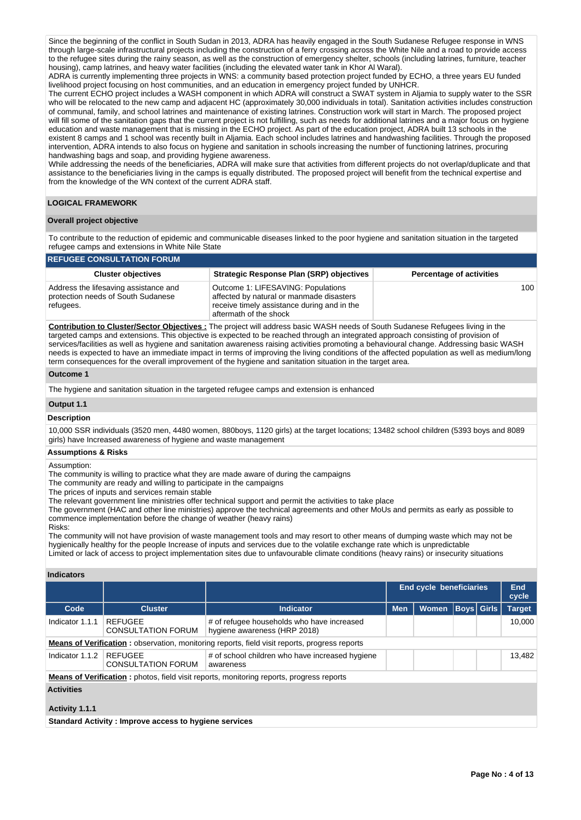Since the beginning of the conflict in South Sudan in 2013, ADRA has heavily engaged in the South Sudanese Refugee response in WNS through large-scale infrastructural projects including the construction of a ferry crossing across the White Nile and a road to provide access to the refugee sites during the rainy season, as well as the construction of emergency shelter, schools (including latrines, furniture, teacher housing), camp latrines, and heavy water facilities (including the elevated water tank in Khor Al Waral).

ADRA is currently implementing three projects in WNS: a community based protection project funded by ECHO, a three years EU funded livelihood project focusing on host communities, and an education in emergency project funded by UNHCR.

The current ECHO project includes a WASH component in which ADRA will construct a SWAT system in Aljamia to supply water to the SSR who will be relocated to the new camp and adjacent HC (approximately 30,000 individuals in total). Sanitation activities includes construction of communal, family, and school latrines and maintenance of existing latrines. Construction work will start in March. The proposed project will fill some of the sanitation gaps that the current project is not fulfilling, such as needs for additional latrines and a major focus on hygiene education and waste management that is missing in the ECHO project. As part of the education project, ADRA built 13 schools in the existent 8 camps and 1 school was recently built in Aljamia. Each school includes latrines and handwashing facilities. Through the proposed intervention, ADRA intends to also focus on hygiene and sanitation in schools increasing the number of functioning latrines, procuring handwashing bags and soap, and providing hygiene awareness.

While addressing the needs of the beneficiaries, ADRA will make sure that activities from different projects do not overlap/duplicate and that assistance to the beneficiaries living in the camps is equally distributed. The proposed project will benefit from the technical expertise and from the knowledge of the WN context of the current ADRA staff.

### **LOGICAL FRAMEWORK**

# **Overall project objective**

To contribute to the reduction of epidemic and communicable diseases linked to the poor hygiene and sanitation situation in the targeted refugee camps and extensions in White Nile State

| <b>REFUGEE CONSULTATION FORUM</b>                                                        |                                                                                                                                                         |                                 |  |  |  |  |  |  |  |  |  |
|------------------------------------------------------------------------------------------|---------------------------------------------------------------------------------------------------------------------------------------------------------|---------------------------------|--|--|--|--|--|--|--|--|--|
| <b>Cluster objectives</b>                                                                | Strategic Response Plan (SRP) objectives                                                                                                                | <b>Percentage of activities</b> |  |  |  |  |  |  |  |  |  |
| Address the lifesaving assistance and<br>protection needs of South Sudanese<br>refugees. | Outcome 1: LIFESAVING: Populations<br>affected by natural or manmade disasters<br>receive timely assistance during and in the<br>aftermath of the shock | 100                             |  |  |  |  |  |  |  |  |  |

**Contribution to Cluster/Sector Objectives :** The project will address basic WASH needs of South Sudanese Refugees living in the targeted camps and extensions. This objective is expected to be reached through an integrated approach consisting of provision of services/facilities as well as hygiene and sanitation awareness raising activities promoting a behavioural change. Addressing basic WASH needs is expected to have an immediate impact in terms of improving the living conditions of the affected population as well as medium/long term consequences for the overall improvement of the hygiene and sanitation situation in the target area.

### **Outcome 1**

The hygiene and sanitation situation in the targeted refugee camps and extension is enhanced

### **Output 1.1**

### **Description**

10,000 SSR individuals (3520 men, 4480 women, 880boys, 1120 girls) at the target locations; 13482 school children (5393 boys and 8089 girls) have Increased awareness of hygiene and waste management

### **Assumptions & Risks**

Assumption:

The community is willing to practice what they are made aware of during the campaigns

The community are ready and willing to participate in the campaigns

The prices of inputs and services remain stable

The relevant government line ministries offer technical support and permit the activities to take place

The government (HAC and other line ministries) approve the technical agreements and other MoUs and permits as early as possible to commence implementation before the change of weather (heavy rains)

Risks:

The community will not have provision of waste management tools and may resort to other means of dumping waste which may not be hygienically healthy for the people Increase of inputs and services due to the volatile exchange rate which is unpredictable Limited or lack of access to project implementation sites due to unfavourable climate conditions (heavy rains) or insecurity situations

# **Indicators**

|                                                                                                      |                                                                                                             |                                                                                                 | <b>Boys</b> Girls<br><b>Men</b><br><b>Women</b> |        |  | <b>End cycle beneficiaries</b> |               |  | <b>End</b><br>cycle |  |  |  |  |
|------------------------------------------------------------------------------------------------------|-------------------------------------------------------------------------------------------------------------|-------------------------------------------------------------------------------------------------|-------------------------------------------------|--------|--|--------------------------------|---------------|--|---------------------|--|--|--|--|
| Code                                                                                                 | <b>Cluster</b>                                                                                              | <b>Indicator</b>                                                                                |                                                 |        |  |                                | <b>Target</b> |  |                     |  |  |  |  |
| Indicator 1.1.1                                                                                      | <b>REFUGEE</b><br><b>CONSULTATION FORUM</b>                                                                 | # of refugee households who have increased<br>hygiene awareness (HRP 2018)                      |                                                 | 10.000 |  |                                |               |  |                     |  |  |  |  |
| <b>Means of Verification:</b> observation, monitoring reports, field visit reports, progress reports |                                                                                                             |                                                                                                 |                                                 |        |  |                                |               |  |                     |  |  |  |  |
| Indicator 1.1.2                                                                                      | <b>REFUGEE</b><br># of school children who have increased hygiene<br><b>CONSULTATION FORUM</b><br>awareness |                                                                                                 |                                                 |        |  |                                |               |  |                     |  |  |  |  |
|                                                                                                      |                                                                                                             | <b>Means of Verification:</b> photos, field visit reports, monitoring reports, progress reports |                                                 |        |  |                                |               |  |                     |  |  |  |  |
| <b>Activities</b>                                                                                    |                                                                                                             |                                                                                                 |                                                 |        |  |                                |               |  |                     |  |  |  |  |
| Activity 1.1.1                                                                                       |                                                                                                             |                                                                                                 |                                                 |        |  |                                |               |  |                     |  |  |  |  |
|                                                                                                      | Standard Activity: Improve access to hygiene services                                                       |                                                                                                 |                                                 |        |  |                                |               |  |                     |  |  |  |  |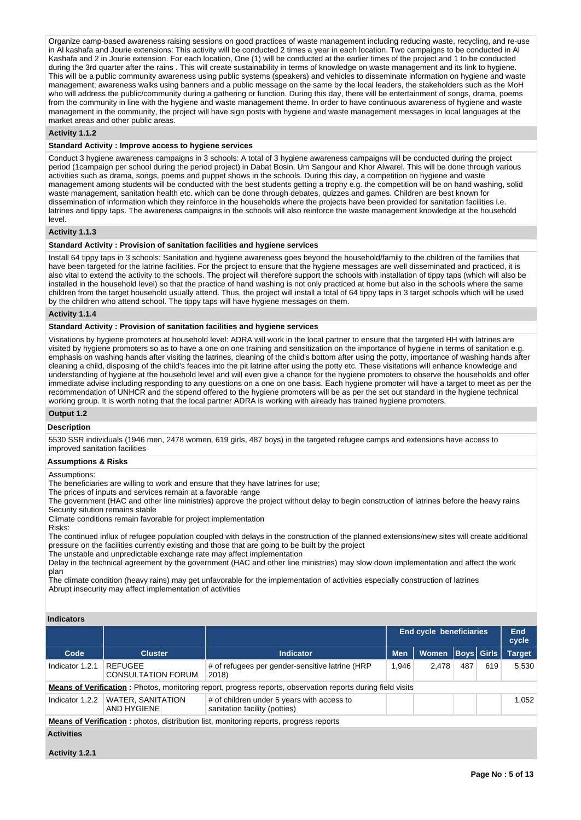Organize camp-based awareness raising sessions on good practices of waste management including reducing waste, recycling, and re-use in Al kashafa and Jourie extensions: This activity will be conducted 2 times a year in each location. Two campaigns to be conducted in Al Kashafa and 2 in Jourie extension. For each location, One (1) will be conducted at the earlier times of the project and 1 to be conducted during the 3rd quarter after the rains . This will create sustainability in terms of knowledge on waste management and its link to hygiene. This will be a public community awareness using public systems (speakers) and vehicles to disseminate information on hygiene and waste management; awareness walks using banners and a public message on the same by the local leaders, the stakeholders such as the MoH who will address the public/community during a gathering or function. During this day, there will be entertainment of songs, drama, poems from the community in line with the hygiene and waste management theme. In order to have continuous awareness of hygiene and waste management in the community, the project will have sign posts with hygiene and waste management messages in local languages at the market areas and other public areas.

### **Activity 1.1.2**

## **Standard Activity : Improve access to hygiene services**

Conduct 3 hygiene awareness campaigns in 3 schools: A total of 3 hygiene awareness campaigns will be conducted during the project period (1campaign per school during the period project) in Dabat Bosin, Um Sangour and Khor Alwarel. This will be done through various activities such as drama, songs, poems and puppet shows in the schools. During this day, a competition on hygiene and waste management among students will be conducted with the best students getting a trophy e.g. the competition will be on hand washing, solid waste management, sanitation health etc. which can be done through debates, quizzes and games. Children are best known for dissemination of information which they reinforce in the households where the projects have been provided for sanitation facilities i.e. latrines and tippy taps. The awareness campaigns in the schools will also reinforce the waste management knowledge at the household level.

# **Activity 1.1.3**

### **Standard Activity : Provision of sanitation facilities and hygiene services**

Install 64 tippy taps in 3 schools: Sanitation and hygiene awareness goes beyond the household/family to the children of the families that have been targeted for the latrine facilities. For the project to ensure that the hygiene messages are well disseminated and practiced, it is also vital to extend the activity to the schools. The project will therefore support the schools with installation of tippy taps (which will also be installed in the household level) so that the practice of hand washing is not only practiced at home but also in the schools where the same children from the target household usually attend. Thus, the project will install a total of 64 tippy taps in 3 target schools which will be used by the children who attend school. The tippy taps will have hygiene messages on them.

### **Activity 1.1.4**

### **Standard Activity : Provision of sanitation facilities and hygiene services**

Visitations by hygiene promoters at household level: ADRA will work in the local partner to ensure that the targeted HH with latrines are visited by hygiene promoters so as to have a one on one training and sensitization on the importance of hygiene in terms of sanitation e.g. emphasis on washing hands after visiting the latrines, cleaning of the child's bottom after using the potty, importance of washing hands after cleaning a child, disposing of the child's feaces into the pit latrine after using the potty etc. These visitations will enhance knowledge and understanding of hygiene at the household level and will even give a chance for the hygiene promoters to observe the households and offer immediate advise including responding to any questions on a one on one basis. Each hygiene promoter will have a target to meet as per the recommendation of UNHCR and the stipend offered to the hygiene promoters will be as per the set out standard in the hygiene technical working group. It is worth noting that the local partner ADRA is working with already has trained hygiene promoters.

# **Output 1.2**

## **Description**

5530 SSR individuals (1946 men, 2478 women, 619 girls, 487 boys) in the targeted refugee camps and extensions have access to improved sanitation facilities

### **Assumptions & Risks**

Assumptions:

The beneficiaries are willing to work and ensure that they have latrines for use;

The prices of inputs and services remain at a favorable range

The government (HAC and other line ministries) approve the project without delay to begin construction of latrines before the heavy rains Security sitution remains stable

Climate conditions remain favorable for project implementation

Risks:

The continued influx of refugee population coupled with delays in the construction of the planned extensions/new sites will create additional pressure on the facilities currently existing and those that are going to be built by the project

The unstable and unpredictable exchange rate may affect implementation

Delay in the technical agreement by the government (HAC and other line ministries) may slow down implementation and affect the work plan

The climate condition (heavy rains) may get unfavorable for the implementation of activities especially construction of latrines Abrupt insecurity may affect implementation of activities

### **Indicators**

|                   |                                                                                                                                 |                                                                                                                     |            | <b>End cycle beneficiaries</b><br>Boys   Girls  <br>Women<br>487<br>2.478<br>619 |  |  |               |  |  |  |  |  |
|-------------------|---------------------------------------------------------------------------------------------------------------------------------|---------------------------------------------------------------------------------------------------------------------|------------|----------------------------------------------------------------------------------|--|--|---------------|--|--|--|--|--|
| Code              | <b>Cluster</b>                                                                                                                  | <b>Indicator</b>                                                                                                    | <b>Men</b> |                                                                                  |  |  | <b>Target</b> |  |  |  |  |  |
| Indicator 1.2.1   | <b>REFUGEE</b><br><b>CONSULTATION FORUM</b>                                                                                     | # of refugees per gender-sensitive latrine (HRP<br>2018)                                                            | 1.946      |                                                                                  |  |  | 5.530         |  |  |  |  |  |
|                   |                                                                                                                                 | <b>Means of Verification</b> : Photos, monitoring report, progress reports, observation reports during field visits |            |                                                                                  |  |  |               |  |  |  |  |  |
| Indicator 1.2.2   | <b>WATER, SANITATION</b><br># of children under 5 years with access to<br>1.052<br>AND HYGIENE<br>sanitation facility (potties) |                                                                                                                     |            |                                                                                  |  |  |               |  |  |  |  |  |
|                   |                                                                                                                                 | <b>Means of Verification:</b> photos, distribution list, monitoring reports, progress reports                       |            |                                                                                  |  |  |               |  |  |  |  |  |
| <b>Activities</b> |                                                                                                                                 |                                                                                                                     |            |                                                                                  |  |  |               |  |  |  |  |  |

### **Activity 1.2.1**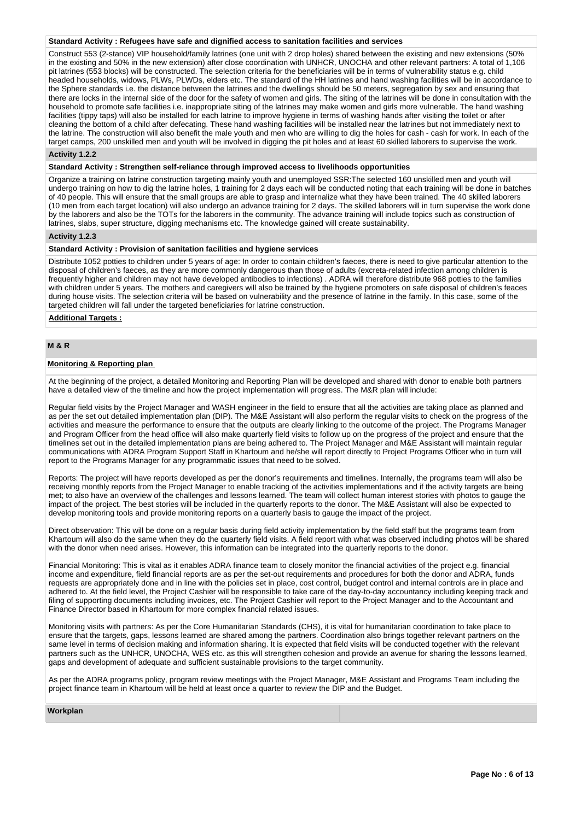### **Standard Activity : Refugees have safe and dignified access to sanitation facilities and services**

Construct 553 (2-stance) VIP household/family latrines (one unit with 2 drop holes) shared between the existing and new extensions (50% in the existing and 50% in the new extension) after close coordination with UNHCR, UNOCHA and other relevant partners: A total of 1,106 pit latrines (553 blocks) will be constructed. The selection criteria for the beneficiaries will be in terms of vulnerability status e.g. child headed households, widows, PLWs, PLWDs, elders etc. The standard of the HH latrines and hand washing facilities will be in accordance to the Sphere standards i.e. the distance between the latrines and the dwellings should be 50 meters, segregation by sex and ensuring that there are locks in the internal side of the door for the safety of women and girls. The siting of the latrines will be done in consultation with the household to promote safe facilities i.e. inappropriate siting of the latrines may make women and girls more vulnerable. The hand washing facilities (tippy taps) will also be installed for each latrine to improve hygiene in terms of washing hands after visiting the toilet or after cleaning the bottom of a child after defecating. These hand washing facilities will be installed near the latrines but not immediately next to the latrine. The construction will also benefit the male youth and men who are willing to dig the holes for cash - cash for work. In each of the target camps, 200 unskilled men and youth will be involved in digging the pit holes and at least 60 skilled laborers to supervise the work.

# **Activity 1.2.2**

**Standard Activity : Strengthen self-reliance through improved access to livelihoods opportunities**

Organize a training on latrine construction targeting mainly youth and unemployed SSR:The selected 160 unskilled men and youth will undergo training on how to dig the latrine holes, 1 training for 2 days each will be conducted noting that each training will be done in batches of 40 people. This will ensure that the small groups are able to grasp and internalize what they have been trained. The 40 skilled laborers (10 men from each target location) will also undergo an advance training for 2 days. The skilled laborers will in turn supervise the work done by the laborers and also be the TOTs for the laborers in the community. The advance training will include topics such as construction of latrines, slabs, super structure, digging mechanisms etc. The knowledge gained will create sustainability.

### **Activity 1.2.3**

### **Standard Activity : Provision of sanitation facilities and hygiene services**

Distribute 1052 potties to children under 5 years of age: In order to contain children's faeces, there is need to give particular attention to the disposal of children's faeces, as they are more commonly dangerous than those of adults (excreta-related infection among children is frequently higher and children may not have developed antibodies to infections) . ADRA will therefore distribute 968 potties to the families with children under 5 years. The mothers and caregivers will also be trained by the hygiene promoters on safe disposal of children's feaces during house visits. The selection criteria will be based on vulnerability and the presence of latrine in the family. In this case, some of the targeted children will fall under the targeted beneficiaries for latrine construction.

**Additional Targets :**

# **M & R**

### **Monitoring & Reporting plan**

At the beginning of the project, a detailed Monitoring and Reporting Plan will be developed and shared with donor to enable both partners have a detailed view of the timeline and how the project implementation will progress. The M&R plan will include:

Regular field visits by the Project Manager and WASH engineer in the field to ensure that all the activities are taking place as planned and as per the set out detailed implementation plan (DIP). The M&E Assistant will also perform the regular visits to check on the progress of the activities and measure the performance to ensure that the outputs are clearly linking to the outcome of the project. The Programs Manager and Program Officer from the head office will also make quarterly field visits to follow up on the progress of the project and ensure that the timelines set out in the detailed implementation plans are being adhered to. The Project Manager and M&E Assistant will maintain regular communications with ADRA Program Support Staff in Khartoum and he/she will report directly to Project Programs Officer who in turn will report to the Programs Manager for any programmatic issues that need to be solved.

Reports: The project will have reports developed as per the donor's requirements and timelines. Internally, the programs team will also be receiving monthly reports from the Project Manager to enable tracking of the activities implementations and if the activity targets are being met; to also have an overview of the challenges and lessons learned. The team will collect human interest stories with photos to gauge the impact of the project. The best stories will be included in the quarterly reports to the donor. The M&E Assistant will also be expected to develop monitoring tools and provide monitoring reports on a quarterly basis to gauge the impact of the project.

Direct observation: This will be done on a regular basis during field activity implementation by the field staff but the programs team from Khartoum will also do the same when they do the quarterly field visits. A field report with what was observed including photos will be shared with the donor when need arises. However, this information can be integrated into the quarterly reports to the donor.

Financial Monitoring: This is vital as it enables ADRA finance team to closely monitor the financial activities of the project e.g. financial income and expenditure, field financial reports are as per the set-out requirements and procedures for both the donor and ADRA, funds requests are appropriately done and in line with the policies set in place, cost control, budget control and internal controls are in place and adhered to. At the field level, the Project Cashier will be responsible to take care of the day-to-day accountancy including keeping track and filing of supporting documents including invoices, etc. The Project Cashier will report to the Project Manager and to the Accountant and Finance Director based in Khartoum for more complex financial related issues.

Monitoring visits with partners: As per the Core Humanitarian Standards (CHS), it is vital for humanitarian coordination to take place to ensure that the targets, gaps, lessons learned are shared among the partners. Coordination also brings together relevant partners on the same level in terms of decision making and information sharing. It is expected that field visits will be conducted together with the relevant partners such as the UNHCR, UNOCHA, WES etc. as this will strengthen cohesion and provide an avenue for sharing the lessons learned, gaps and development of adequate and sufficient sustainable provisions to the target community.

As per the ADRA programs policy, program review meetings with the Project Manager, M&E Assistant and Programs Team including the project finance team in Khartoum will be held at least once a quarter to review the DIP and the Budget.

| Workplan |  |  |  |
|----------|--|--|--|
|          |  |  |  |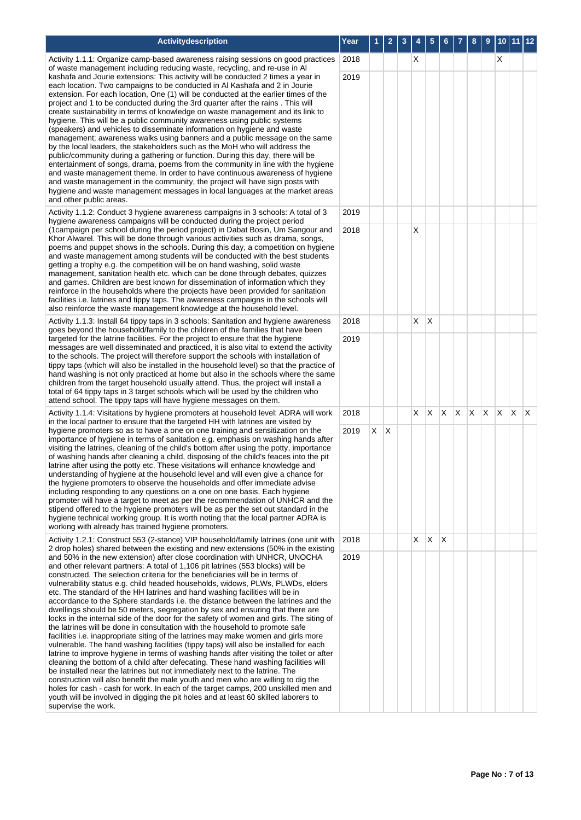| Activitydescription                                                                                                                                                                                                                                                                                                                                                                                                                                                                                                                                                                                                                                                                                                                                                                                                                                                                                                                                                                                                                                                                                                                                                                                                                                                                                                                                                                                                                                                                                    | Year         |   |   | 3 |    |   |    |  | 9       | 10 |              |              |
|--------------------------------------------------------------------------------------------------------------------------------------------------------------------------------------------------------------------------------------------------------------------------------------------------------------------------------------------------------------------------------------------------------------------------------------------------------------------------------------------------------------------------------------------------------------------------------------------------------------------------------------------------------------------------------------------------------------------------------------------------------------------------------------------------------------------------------------------------------------------------------------------------------------------------------------------------------------------------------------------------------------------------------------------------------------------------------------------------------------------------------------------------------------------------------------------------------------------------------------------------------------------------------------------------------------------------------------------------------------------------------------------------------------------------------------------------------------------------------------------------------|--------------|---|---|---|----|---|----|--|---------|----|--------------|--------------|
| Activity 1.1.1: Organize camp-based awareness raising sessions on good practices<br>of waste management including reducing waste, recycling, and re-use in Al                                                                                                                                                                                                                                                                                                                                                                                                                                                                                                                                                                                                                                                                                                                                                                                                                                                                                                                                                                                                                                                                                                                                                                                                                                                                                                                                          | 2018         |   |   |   | X  |   |    |  |         | х  |              |              |
| kashafa and Jourie extensions: This activity will be conducted 2 times a year in<br>each location. Two campaigns to be conducted in Al Kashafa and 2 in Jourie<br>extension. For each location, One (1) will be conducted at the earlier times of the<br>project and 1 to be conducted during the 3rd quarter after the rains. This will<br>create sustainability in terms of knowledge on waste management and its link to<br>hygiene. This will be a public community awareness using public systems<br>(speakers) and vehicles to disseminate information on hygiene and waste<br>management; awareness walks using banners and a public message on the same<br>by the local leaders, the stakeholders such as the MoH who will address the<br>public/community during a gathering or function. During this day, there will be<br>entertainment of songs, drama, poems from the community in line with the hygiene<br>and waste management theme. In order to have continuous awareness of hygiene<br>and waste management in the community, the project will have sign posts with<br>hygiene and waste management messages in local languages at the market areas<br>and other public areas.<br>Activity 1.1.2: Conduct 3 hygiene awareness campaigns in 3 schools: A total of 3<br>hygiene awareness campaigns will be conducted during the project period                                                                                                                                        | 2019<br>2019 |   |   |   |    |   |    |  |         |    |              |              |
| (1 campaign per school during the period project) in Dabat Bosin, Um Sangour and                                                                                                                                                                                                                                                                                                                                                                                                                                                                                                                                                                                                                                                                                                                                                                                                                                                                                                                                                                                                                                                                                                                                                                                                                                                                                                                                                                                                                       | 2018         |   |   |   | X  |   |    |  |         |    |              |              |
| Khor Alwarel. This will be done through various activities such as drama, songs,<br>poems and puppet shows in the schools. During this day, a competition on hygiene<br>and waste management among students will be conducted with the best students<br>getting a trophy e.g. the competition will be on hand washing, solid waste<br>management, sanitation health etc. which can be done through debates, quizzes<br>and games. Children are best known for dissemination of information which they<br>reinforce in the households where the projects have been provided for sanitation<br>facilities i.e. latrines and tippy taps. The awareness campaigns in the schools will<br>also reinforce the waste management knowledge at the household level.                                                                                                                                                                                                                                                                                                                                                                                                                                                                                                                                                                                                                                                                                                                                             |              |   |   |   |    |   |    |  |         |    |              |              |
| Activity 1.1.3: Install 64 tippy taps in 3 schools: Sanitation and hygiene awareness<br>goes beyond the household/family to the children of the families that have been                                                                                                                                                                                                                                                                                                                                                                                                                                                                                                                                                                                                                                                                                                                                                                                                                                                                                                                                                                                                                                                                                                                                                                                                                                                                                                                                | 2018         |   |   |   | X. | X |    |  |         |    |              |              |
| targeted for the latrine facilities. For the project to ensure that the hygiene<br>messages are well disseminated and practiced, it is also vital to extend the activity<br>to the schools. The project will therefore support the schools with installation of<br>tippy taps (which will also be installed in the household level) so that the practice of<br>hand washing is not only practiced at home but also in the schools where the same<br>children from the target household usually attend. Thus, the project will install a<br>total of 64 tippy taps in 3 target schools which will be used by the children who<br>attend school. The tippy taps will have hygiene messages on them.                                                                                                                                                                                                                                                                                                                                                                                                                                                                                                                                                                                                                                                                                                                                                                                                      | 2019         |   |   |   |    |   |    |  |         |    |              |              |
| Activity 1.1.4: Visitations by hygiene promoters at household level: ADRA will work                                                                                                                                                                                                                                                                                                                                                                                                                                                                                                                                                                                                                                                                                                                                                                                                                                                                                                                                                                                                                                                                                                                                                                                                                                                                                                                                                                                                                    | 2018         |   |   |   | X. | X | X. |  | X X X X |    | $\mathsf{X}$ | $\mathsf{X}$ |
| in the local partner to ensure that the targeted HH with latrines are visited by<br>hygiene promoters so as to have a one on one training and sensitization on the<br>importance of hygiene in terms of sanitation e.g. emphasis on washing hands after<br>visiting the latrines, cleaning of the child's bottom after using the potty, importance<br>of washing hands after cleaning a child, disposing of the child's feaces into the pit<br>latrine after using the potty etc. These visitations will enhance knowledge and<br>understanding of hygiene at the household level and will even give a chance for<br>the hygiene promoters to observe the households and offer immediate advise<br>including responding to any questions on a one on one basis. Each hygiene<br>promoter will have a target to meet as per the recommendation of UNHCR and the<br>stipend offered to the hygiene promoters will be as per the set out standard in the<br>hygiene technical working group. It is worth noting that the local partner ADRA is<br>working with already has trained hygiene promoters.                                                                                                                                                                                                                                                                                                                                                                                                     | 2019         | X | Х |   |    |   |    |  |         |    |              |              |
| Activity 1.2.1: Construct 553 (2-stance) VIP household/family latrines (one unit with<br>2 drop holes) shared between the existing and new extensions (50% in the existing                                                                                                                                                                                                                                                                                                                                                                                                                                                                                                                                                                                                                                                                                                                                                                                                                                                                                                                                                                                                                                                                                                                                                                                                                                                                                                                             | 2018         |   |   |   | X  | X | ΙX |  |         |    |              |              |
| and 50% in the new extension) after close coordination with UNHCR, UNOCHA<br>and other relevant partners: A total of 1,106 pit latrines (553 blocks) will be<br>constructed. The selection criteria for the beneficiaries will be in terms of<br>vulnerability status e.g. child headed households, widows, PLWs, PLWDs, elders<br>etc. The standard of the HH latrines and hand washing facilities will be in<br>accordance to the Sphere standards i.e. the distance between the latrines and the<br>dwellings should be 50 meters, segregation by sex and ensuring that there are<br>locks in the internal side of the door for the safety of women and girls. The siting of<br>the latrines will be done in consultation with the household to promote safe<br>facilities i.e. inappropriate siting of the latrines may make women and girls more<br>vulnerable. The hand washing facilities (tippy taps) will also be installed for each<br>latrine to improve hygiene in terms of washing hands after visiting the toilet or after<br>cleaning the bottom of a child after defecating. These hand washing facilities will<br>be installed near the latrines but not immediately next to the latrine. The<br>construction will also benefit the male youth and men who are willing to dig the<br>holes for cash - cash for work. In each of the target camps, 200 unskilled men and<br>youth will be involved in digging the pit holes and at least 60 skilled laborers to<br>supervise the work. | 2019         |   |   |   |    |   |    |  |         |    |              |              |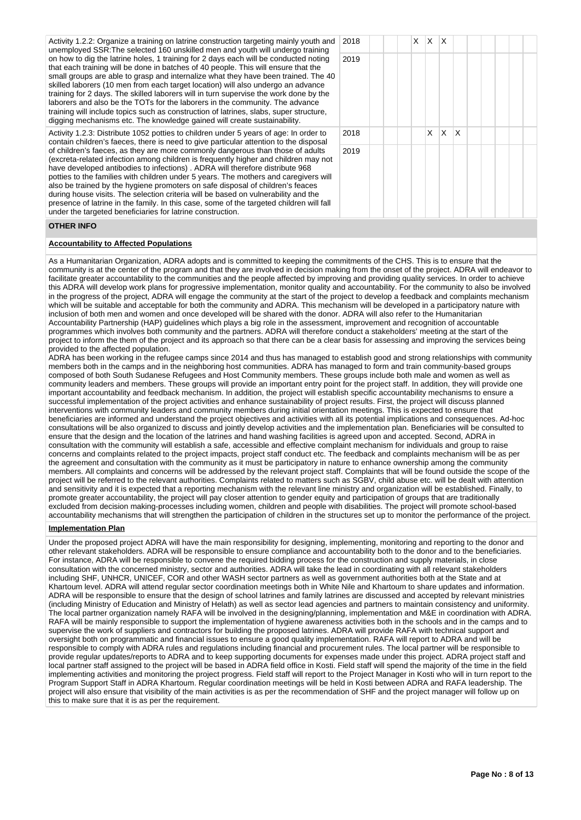Activity 1.2.2: Organize a training on latrine construction targeting mainly youth and unemployed SSR:The selected 160 unskilled men and youth will undergo training on how to dig the latrine holes, 1 training for 2 days each will be conducted noting that each training will be done in batches of 40 people. This will ensure that the small groups are able to grasp and internalize what they have been trained. The 40 skilled laborers (10 men from each target location) will also undergo an advance training for 2 days. The skilled laborers will in turn supervise the work done by the laborers and also be the TOTs for the laborers in the community. The advance training will include topics such as construction of latrines, slabs, super structure, digging mechanisms etc. The knowledge gained will create sustainability.

Activity 1.2.3: Distribute 1052 potties to children under 5 years of age: In order to contain children's faeces, there is need to give particular attention to the disposal of children's faeces, as they are more commonly dangerous than those of adults (excreta-related infection among children is frequently higher and children may not have developed antibodies to infections) . ADRA will therefore distribute 968 potties to the families with children under 5 years. The mothers and caregivers will also be trained by the hygiene promoters on safe disposal of children's feaces during house visits. The selection criteria will be based on vulnerability and the presence of latrine in the family. In this case, some of the targeted children will fall under the targeted beneficiaries for latrine construction.

| L | 2018 |  |  | $X \mid X \mid X$ |                   |  |  |  |
|---|------|--|--|-------------------|-------------------|--|--|--|
|   | 2019 |  |  |                   |                   |  |  |  |
| ) |      |  |  |                   |                   |  |  |  |
|   |      |  |  |                   |                   |  |  |  |
|   |      |  |  |                   |                   |  |  |  |
|   | 2018 |  |  |                   | $X \mid X \mid X$ |  |  |  |
|   | 2019 |  |  |                   |                   |  |  |  |
|   |      |  |  |                   |                   |  |  |  |
|   |      |  |  |                   |                   |  |  |  |
|   |      |  |  |                   |                   |  |  |  |

# **OTHER INFO**

### **Accountability to Affected Populations**

As a Humanitarian Organization, ADRA adopts and is committed to keeping the commitments of the CHS. This is to ensure that the community is at the center of the program and that they are involved in decision making from the onset of the project. ADRA will endeavor to facilitate greater accountability to the communities and the people affected by improving and providing quality services. In order to achieve this ADRA will develop work plans for progressive implementation, monitor quality and accountability. For the community to also be involved in the progress of the project, ADRA will engage the community at the start of the project to develop a feedback and complaints mechanism which will be suitable and acceptable for both the community and ADRA. This mechanism will be developed in a participatory nature with inclusion of both men and women and once developed will be shared with the donor. ADRA will also refer to the Humanitarian Accountability Partnership (HAP) guidelines which plays a big role in the assessment, improvement and recognition of accountable programmes which involves both community and the partners. ADRA will therefore conduct a stakeholders' meeting at the start of the project to inform the them of the project and its approach so that there can be a clear basis for assessing and improving the services being provided to the affected population.

ADRA has been working in the refugee camps since 2014 and thus has managed to establish good and strong relationships with community members both in the camps and in the neighboring host communities. ADRA has managed to form and train community-based groups composed of both South Sudanese Refugees and Host Community members. These groups include both male and women as well as community leaders and members. These groups will provide an important entry point for the project staff. In addition, they will provide one important accountability and feedback mechanism. In addition, the project will establish specific accountability mechanisms to ensure a successful implementation of the project activities and enhance sustainability of project results. First, the project will discuss planned interventions with community leaders and community members during initial orientation meetings. This is expected to ensure that beneficiaries are informed and understand the project objectives and activities with all its potential implications and consequences. Ad-hoc consultations will be also organized to discuss and jointly develop activities and the implementation plan. Beneficiaries will be consulted to ensure that the design and the location of the latrines and hand washing facilities is agreed upon and accepted. Second, ADRA in consultation with the community will establish a safe, accessible and effective complaint mechanism for individuals and group to raise concerns and complaints related to the project impacts, project staff conduct etc. The feedback and complaints mechanism will be as per the agreement and consultation with the community as it must be participatory in nature to enhance ownership among the community members. All complaints and concerns will be addressed by the relevant project staff. Complaints that will be found outside the scope of the project will be referred to the relevant authorities. Complaints related to matters such as SGBV, child abuse etc. will be dealt with attention and sensitivity and it is expected that a reporting mechanism with the relevant line ministry and organization will be established. Finally, to promote greater accountability, the project will pay closer attention to gender equity and participation of groups that are traditionally excluded from decision making-processes including women, children and people with disabilities. The project will promote school-based accountability mechanisms that will strengthen the participation of children in the structures set up to monitor the performance of the project.

## **Implementation Plan**

Under the proposed project ADRA will have the main responsibility for designing, implementing, monitoring and reporting to the donor and other relevant stakeholders. ADRA will be responsible to ensure compliance and accountability both to the donor and to the beneficiaries. For instance, ADRA will be responsible to convene the required bidding process for the construction and supply materials, in close consultation with the concerned ministry, sector and authorities. ADRA will take the lead in coordinating with all relevant stakeholders including SHF, UNHCR, UNICEF, COR and other WASH sector partners as well as government authorities both at the State and at Khartoum level. ADRA will attend regular sector coordination meetings both in White Nile and Khartoum to share updates and information. ADRA will be responsible to ensure that the design of school latrines and family latrines are discussed and accepted by relevant ministries (including Ministry of Education and Ministry of Helath) as well as sector lead agencies and partners to maintain consistency and uniformity. The local partner organization namely RAFA will be involved in the designing/planning, implementation and M&E in coordination with ADRA. RAFA will be mainly responsible to support the implementation of hygiene awareness activities both in the schools and in the camps and to supervise the work of suppliers and contractors for building the proposed latrines. ADRA will provide RAFA with technical support and oversight both on programmatic and financial issues to ensure a good quality implementation. RAFA will report to ADRA and will be responsible to comply with ADRA rules and regulations including financial and procurement rules. The local partner will be responsible to provide regular updates/reports to ADRA and to keep supporting documents for expenses made under this project. ADRA project staff and local partner staff assigned to the project will be based in ADRA field office in Kosti. Field staff will spend the majority of the time in the field implementing activities and monitoring the project progress. Field staff will report to the Project Manager in Kosti who will in turn report to the Program Support Staff in ADRA Khartoum. Regular coordination meetings will be held in Kosti between ADRA and RAFA leadership. The project will also ensure that visibility of the main activities is as per the recommendation of SHF and the project manager will follow up on this to make sure that it is as per the requirement.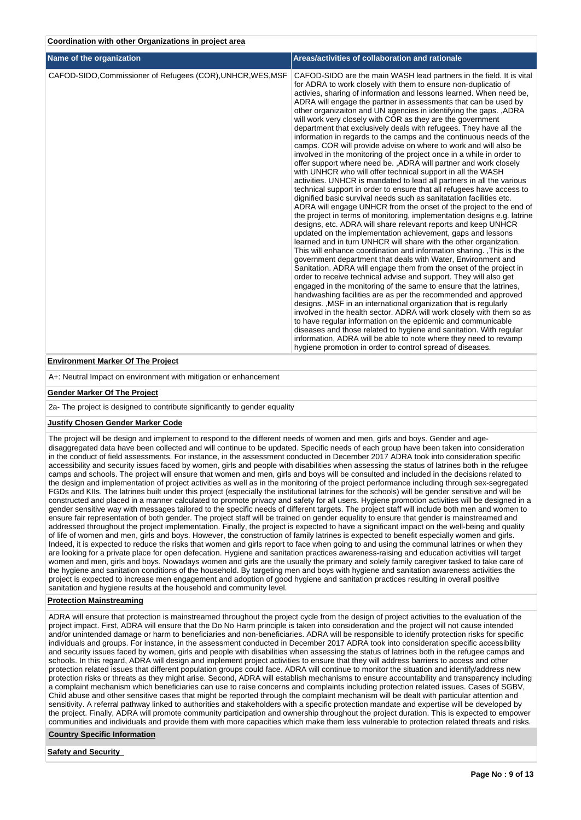| Name of the organization                                    | Areas/activities of collaboration and rationale                                                                                                                                                                                                                                                                                                                                                                                                                                                                                                                                                                                                                                                                                                                                                                                                                                                                                                                                                                                                                                                                                                                                                                                                                                                                                                                                                                                                                                                                                                                                                                                                                                                                                                                                                                                                                                                                                                                                                                                                                                                                                                                                                                                                                                 |
|-------------------------------------------------------------|---------------------------------------------------------------------------------------------------------------------------------------------------------------------------------------------------------------------------------------------------------------------------------------------------------------------------------------------------------------------------------------------------------------------------------------------------------------------------------------------------------------------------------------------------------------------------------------------------------------------------------------------------------------------------------------------------------------------------------------------------------------------------------------------------------------------------------------------------------------------------------------------------------------------------------------------------------------------------------------------------------------------------------------------------------------------------------------------------------------------------------------------------------------------------------------------------------------------------------------------------------------------------------------------------------------------------------------------------------------------------------------------------------------------------------------------------------------------------------------------------------------------------------------------------------------------------------------------------------------------------------------------------------------------------------------------------------------------------------------------------------------------------------------------------------------------------------------------------------------------------------------------------------------------------------------------------------------------------------------------------------------------------------------------------------------------------------------------------------------------------------------------------------------------------------------------------------------------------------------------------------------------------------|
| CAFOD-SIDO, Commissioner of Refugees (COR), UNHCR, WES, MSF | CAFOD-SIDO are the main WASH lead partners in the field. It is vital<br>for ADRA to work closely with them to ensure non-duplicatio of<br>activies, sharing of information and lessons learned. When need be,<br>ADRA will engage the partner in assessments that can be used by<br>other organizaiton and UN agencies in identifying the gaps. , ADRA<br>will work very closely with COR as they are the government<br>department that exclusively deals with refugees. They have all the<br>information in regards to the camps and the continuous needs of the<br>camps. COR will provide advise on where to work and will also be<br>involved in the monitoring of the project once in a while in order to<br>offer support where need be., ADRA will partner and work closely<br>with UNHCR who will offer technical support in all the WASH<br>activities. UNHCR is mandated to lead all partners in all the various<br>technical support in order to ensure that all refugees have access to<br>dignified basic survival needs such as sanitatation facilities etc.<br>ADRA will engage UNHCR from the onset of the project to the end of<br>the project in terms of monitoring, implementation designs e.g. latrine<br>designs, etc. ADRA will share relevant reports and keep UNHCR<br>updated on the implementation achievement, gaps and lessons<br>learned and in turn UNHCR will share with the other organization.<br>This will enhance coordination and information sharing. This is the<br>government department that deals with Water, Environment and<br>Sanitation. ADRA will engage them from the onset of the project in<br>order to receive technical advise and support. They will also get<br>engaged in the monitoring of the same to ensure that the latrines,<br>handwashing facilities are as per the recommended and approved<br>designs. , MSF in an international organization that is regularly<br>involved in the health sector. ADRA will work closely with them so as<br>to have regular information on the epidemic and communicable<br>diseases and those related to hygiene and sanitation. With regular<br>information, ADRA will be able to note where they need to revamp<br>hygiene promotion in order to control spread of diseases. |

### **Environment Marker Of The Project**

A+: Neutral Impact on environment with mitigation or enhancement

### **Gender Marker Of The Project**

2a- The project is designed to contribute significantly to gender equality

# **Justify Chosen Gender Marker Code**

The project will be design and implement to respond to the different needs of women and men, girls and boys. Gender and agedisaggregated data have been collected and will continue to be updated. Specific needs of each group have been taken into consideration in the conduct of field assessments. For instance, in the assessment conducted in December 2017 ADRA took into consideration specific accessibility and security issues faced by women, girls and people with disabilities when assessing the status of latrines both in the refugee camps and schools. The project will ensure that women and men, girls and boys will be consulted and included in the decisions related to the design and implementation of project activities as well as in the monitoring of the project performance including through sex-segregated FGDs and KIIs. The latrines built under this project (especially the institutional latrines for the schools) will be gender sensitive and will be constructed and placed in a manner calculated to promote privacy and safety for all users. Hygiene promotion activities will be designed in a gender sensitive way with messages tailored to the specific needs of different targets. The project staff will include both men and women to ensure fair representation of both gender. The project staff will be trained on gender equality to ensure that gender is mainstreamed and addressed throughout the project implementation. Finally, the project is expected to have a significant impact on the well-being and quality of life of women and men, girls and boys. However, the construction of family latrines is expected to benefit especially women and girls. Indeed, it is expected to reduce the risks that women and girls report to face when going to and using the communal latrines or when they are looking for a private place for open defecation. Hygiene and sanitation practices awareness-raising and education activities will target women and men, girls and boys. Nowadays women and girls are the usually the primary and solely family caregiver tasked to take care of the hygiene and sanitation conditions of the household. By targeting men and boys with hygiene and sanitation awareness activities the project is expected to increase men engagement and adoption of good hygiene and sanitation practices resulting in overall positive sanitation and hygiene results at the household and community level.

# **Protection Mainstreaming**

ADRA will ensure that protection is mainstreamed throughout the project cycle from the design of project activities to the evaluation of the project impact. First, ADRA will ensure that the Do No Harm principle is taken into consideration and the project will not cause intended and/or unintended damage or harm to beneficiaries and non-beneficiaries. ADRA will be responsible to identify protection risks for specific individuals and groups. For instance, in the assessment conducted in December 2017 ADRA took into consideration specific accessibility and security issues faced by women, girls and people with disabilities when assessing the status of latrines both in the refugee camps and schools. In this regard, ADRA will design and implement project activities to ensure that they will address barriers to access and other protection related issues that different population groups could face. ADRA will continue to monitor the situation and identify/address new protection risks or threats as they might arise. Second, ADRA will establish mechanisms to ensure accountability and transparency including a complaint mechanism which beneficiaries can use to raise concerns and complaints including protection related issues. Cases of SGBV, Child abuse and other sensitive cases that might be reported through the complaint mechanism will be dealt with particular attention and sensitivity. A referral pathway linked to authorities and stakeholders with a specific protection mandate and expertise will be developed by the project. Finally, ADRA will promote community participation and ownership throughout the project duration. This is expected to empower communities and individuals and provide them with more capacities which make them less vulnerable to protection related threats and risks.

## **Country Specific Information**

**Safety and Security**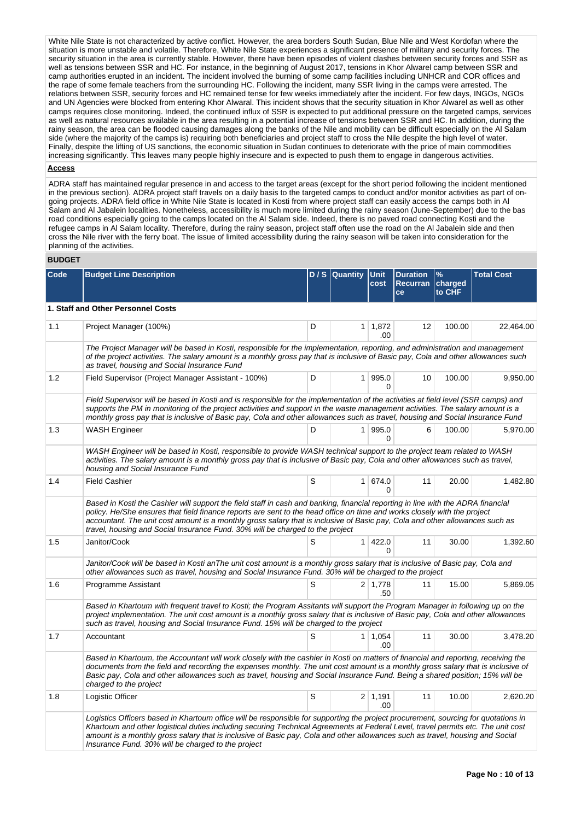White Nile State is not characterized by active conflict. However, the area borders South Sudan, Blue Nile and West Kordofan where the situation is more unstable and volatile. Therefore, White Nile State experiences a significant presence of military and security forces. The security situation in the area is currently stable. However, there have been episodes of violent clashes between security forces and SSR as well as tensions between SSR and HC. For instance, in the beginning of August 2017, tensions in Khor Alwarel camp between SSR and camp authorities erupted in an incident. The incident involved the burning of some camp facilities including UNHCR and COR offices and the rape of some female teachers from the surrounding HC. Following the incident, many SSR living in the camps were arrested. The relations between SSR, security forces and HC remained tense for few weeks immediately after the incident. For few days, INGOs, NGOs and UN Agencies were blocked from entering Khor Alwaral. This incident shows that the security situation in Khor Alwarel as well as other camps requires close monitoring. Indeed, the continued influx of SSR is expected to put additional pressure on the targeted camps, services as well as natural resources available in the area resulting in a potential increase of tensions between SSR and HC. In addition, during the rainy season, the area can be flooded causing damages along the banks of the Nile and mobility can be difficult especially on the Al Salam side (where the majority of the camps is) requiring both beneficiaries and project staff to cross the Nile despite the high level of water. Finally, despite the lifting of US sanctions, the economic situation in Sudan continues to deteriorate with the price of main commodities increasing significantly. This leaves many people highly insecure and is expected to push them to engage in dangerous activities.

# **Access**

ADRA staff has maintained regular presence in and access to the target areas (except for the short period following the incident mentioned in the previous section). ADRA project staff travels on a daily basis to the targeted camps to conduct and/or monitor activities as part of ongoing projects. ADRA field office in White Nile State is located in Kosti from where project staff can easily access the camps both in Al Salam and Al Jabalein localities. Nonetheless, accessibility is much more limited during the rainy season (June-September) due to the bas road conditions especially going to the camps located on the Al Salam side. Indeed, there is no paved road connecting Kosti and the refugee camps in Al Salam locality. Therefore, during the rainy season, project staff often use the road on the Al Jabalein side and then cross the Nile river with the ferry boat. The issue of limited accessibility during the rainy season will be taken into consideration for the planning of the activities.

### **BUDGET**

| Code | <b>Budget Line Description</b>                                                                                                                                                                                                                                                                                                                                                                                                                                                |   | D / S   Quantity | <b>Unit</b><br>cost   | <b>Duration</b><br>Recurran   charged<br>ce | %<br>to CHF | <b>Total Cost</b> |  |
|------|-------------------------------------------------------------------------------------------------------------------------------------------------------------------------------------------------------------------------------------------------------------------------------------------------------------------------------------------------------------------------------------------------------------------------------------------------------------------------------|---|------------------|-----------------------|---------------------------------------------|-------------|-------------------|--|
|      | 1. Staff and Other Personnel Costs                                                                                                                                                                                                                                                                                                                                                                                                                                            |   |                  |                       |                                             |             |                   |  |
| 1.1  | Project Manager (100%)                                                                                                                                                                                                                                                                                                                                                                                                                                                        | D | 1 <sup>1</sup>   | 1,872<br>.00          | 12                                          | 100.00      | 22,464.00         |  |
|      | The Project Manager will be based in Kosti, responsible for the implementation, reporting, and administration and management<br>of the project activities. The salary amount is a monthly gross pay that is inclusive of Basic pay, Cola and other allowances such<br>as travel, housing and Social Insurance Fund                                                                                                                                                            |   |                  |                       |                                             |             |                   |  |
| 1.2  | Field Supervisor (Project Manager Assistant - 100%)                                                                                                                                                                                                                                                                                                                                                                                                                           | D | 1 <sup>1</sup>   | 995.0<br>0            | 10                                          | 100.00      | 9,950.00          |  |
|      | Field Supervisor will be based in Kosti and is responsible for the implementation of the activities at field level (SSR camps) and<br>supports the PM in monitoring of the project activities and support in the waste management activities. The salary amount is a<br>monthly gross pay that is inclusive of Basic pay, Cola and other allowances such as travel, housing and Social Insurance Fund                                                                         |   |                  |                       |                                             |             |                   |  |
| 1.3  | <b>WASH Engineer</b>                                                                                                                                                                                                                                                                                                                                                                                                                                                          | D |                  | 1 995.0<br>$\Omega$   | 6                                           | 100.00      | 5,970.00          |  |
|      | WASH Engineer will be based in Kosti, responsible to provide WASH technical support to the project team related to WASH<br>activities. The salary amount is a monthly gross pay that is inclusive of Basic pay, Cola and other allowances such as travel,<br>housing and Social Insurance Fund                                                                                                                                                                                |   |                  |                       |                                             |             |                   |  |
| 1.4  | <b>Field Cashier</b>                                                                                                                                                                                                                                                                                                                                                                                                                                                          | S |                  | 1 674.0<br>0          | 11                                          | 20.00       | 1,482.80          |  |
|      | Based in Kosti the Cashier will support the field staff in cash and banking, financial reporting in line with the ADRA financial<br>policy. He/She ensures that field finance reports are sent to the head office on time and works closely with the project<br>accountant. The unit cost amount is a monthly gross salary that is inclusive of Basic pay, Cola and other allowances such as<br>travel, housing and Social Insurance Fund. 30% will be charged to the project |   |                  |                       |                                             |             |                   |  |
| 1.5  | Janitor/Cook                                                                                                                                                                                                                                                                                                                                                                                                                                                                  | S | 1 <sup>1</sup>   | 422.0<br>0            | 11                                          | 30.00       | 1,392.60          |  |
|      | Janitor/Cook will be based in Kosti anThe unit cost amount is a monthly gross salary that is inclusive of Basic pay, Cola and<br>other allowances such as travel, housing and Social Insurance Fund. 30% will be charged to the project                                                                                                                                                                                                                                       |   |                  |                       |                                             |             |                   |  |
| 1.6  | Programme Assistant                                                                                                                                                                                                                                                                                                                                                                                                                                                           | S |                  | $2 \mid 1.778$<br>.50 | 11                                          | 15.00       | 5,869.05          |  |
|      | Based in Khartoum with frequent travel to Kosti; the Program Assitants will support the Program Manager in following up on the<br>project implementation. The unit cost amount is a monthly gross salary that is inclusive of Basic pay, Cola and other allowances<br>such as travel, housing and Social Insurance Fund. 15% will be charged to the project                                                                                                                   |   |                  |                       |                                             |             |                   |  |
| 1.7  | Accountant                                                                                                                                                                                                                                                                                                                                                                                                                                                                    | S |                  | $1 \mid 1,054$<br>.00 | 11                                          | 30.00       | 3,478.20          |  |
|      | Based in Khartoum, the Accountant will work closely with the cashier in Kosti on matters of financial and reporting, receiving the<br>documents from the field and recording the expenses monthly. The unit cost amount is a monthly gross salary that is inclusive of<br>Basic pay, Cola and other allowances such as travel, housing and Social Insurance Fund. Being a shared position; 15% will be<br>charged to the project                                              |   |                  |                       |                                             |             |                   |  |
| 1.8  | Logistic Officer                                                                                                                                                                                                                                                                                                                                                                                                                                                              | S |                  | $2 \mid 1,191$<br>.00 | 11                                          | 10.00       | 2,620.20          |  |
|      | Logistics Officers based in Khartoum office will be responsible for supporting the project procurement, sourcing for quotations in<br>Khartoum and other logistical duties including securing Technical Agreements at Federal Level, travel permits etc. The unit cost<br>amount is a monthly gross salary that is inclusive of Basic pay, Cola and other allowances such as travel, housing and Social<br>Insurance Fund. 30% will be charged to the project                 |   |                  |                       |                                             |             |                   |  |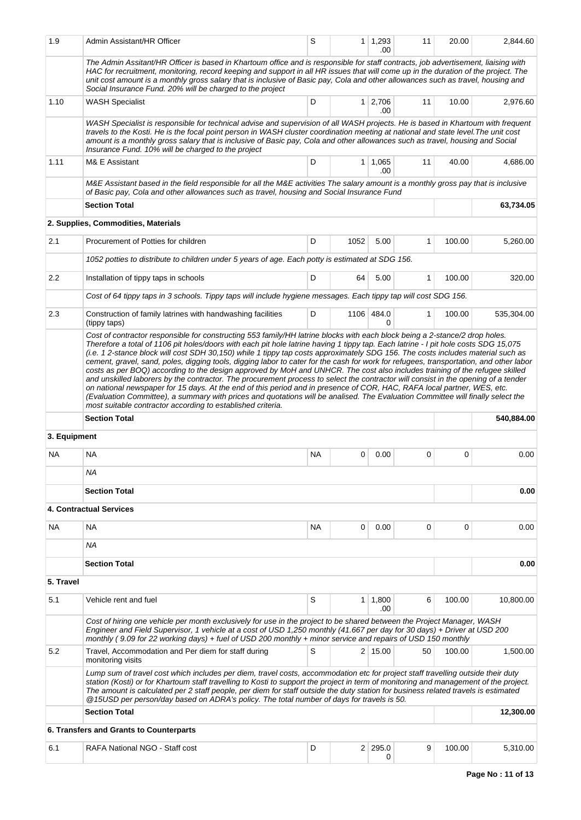| 1.9          | Admin Assistant/HR Officer                                                                                                                                                                                                                                                                                                                                                                                                                                                                                   | S         |      | $1 \quad 1,293$<br>.00 | 11           | 20.00  | 2,844.60   |  |
|--------------|--------------------------------------------------------------------------------------------------------------------------------------------------------------------------------------------------------------------------------------------------------------------------------------------------------------------------------------------------------------------------------------------------------------------------------------------------------------------------------------------------------------|-----------|------|------------------------|--------------|--------|------------|--|
|              | The Admin Assitant/HR Officer is based in Khartoum office and is responsible for staff contracts, job advertisement, liaising with<br>HAC for recruitment, monitoring, record keeping and support in all HR issues that will come up in the duration of the project. The<br>unit cost amount is a monthly gross salary that is inclusive of Basic pay, Cola and other allowances such as travel, housing and<br>Social Insurance Fund. 20% will be charged to the project                                    |           |      |                        |              |        |            |  |
| 1.10         | <b>WASH Specialist</b>                                                                                                                                                                                                                                                                                                                                                                                                                                                                                       | D         |      | 1 2,706<br>.00         | 11           | 10.00  | 2,976.60   |  |
|              | WASH Specialist is responsible for technical advise and supervision of all WASH projects. He is based in Khartoum with frequent<br>travels to the Kosti. He is the focal point person in WASH cluster coordination meeting at national and state level. The unit cost<br>amount is a monthly gross salary that is inclusive of Basic pay, Cola and other allowances such as travel, housing and Social<br>Insurance Fund. 10% will be charged to the project                                                 |           |      |                        |              |        |            |  |
| 1.11         | M& E Assistant                                                                                                                                                                                                                                                                                                                                                                                                                                                                                               | D         |      | $1 \mid 1,065$<br>.00  | 11           | 40.00  | 4,686.00   |  |
|              | M&E Assistant based in the field responsible for all the M&E activities The salary amount is a monthly gross pay that is inclusive<br>of Basic pay, Cola and other allowances such as travel, housing and Social Insurance Fund                                                                                                                                                                                                                                                                              |           |      |                        |              |        |            |  |
|              | <b>Section Total</b>                                                                                                                                                                                                                                                                                                                                                                                                                                                                                         |           |      |                        |              |        | 63,734.05  |  |
|              | 2. Supplies, Commodities, Materials                                                                                                                                                                                                                                                                                                                                                                                                                                                                          |           |      |                        |              |        |            |  |
| 2.1          | Procurement of Potties for children                                                                                                                                                                                                                                                                                                                                                                                                                                                                          | D         | 1052 | 5.00                   | 1            | 100.00 | 5,260.00   |  |
|              | 1052 potties to distribute to children under 5 years of age. Each potty is estimated at SDG 156.                                                                                                                                                                                                                                                                                                                                                                                                             |           |      |                        |              |        |            |  |
| 2.2          | Installation of tippy taps in schools                                                                                                                                                                                                                                                                                                                                                                                                                                                                        | D         | 64   | 5.00                   | $\mathbf{1}$ | 100.00 | 320.00     |  |
|              | Cost of 64 tippy taps in 3 schools. Tippy taps will include hygiene messages. Each tippy tap will cost SDG 156.                                                                                                                                                                                                                                                                                                                                                                                              |           |      |                        |              |        |            |  |
| 2.3          | Construction of family latrines with handwashing facilities<br>(tippy taps)                                                                                                                                                                                                                                                                                                                                                                                                                                  | D         |      | 1106 484.0<br>0        | $\mathbf{1}$ | 100.00 | 535,304.00 |  |
|              | and unskilled laborers by the contractor. The procurement process to select the contractor will consist in the opening of a tender<br>on national newspaper for 15 days. At the end of this period and in presence of COR, HAC, RAFA local partner, WES, etc.<br>(Evaluation Committee), a summary with prices and quotations will be analised. The Evaluation Committee will finally select the<br>most suitable contractor according to established criteria.                                              |           |      |                        |              |        |            |  |
|              |                                                                                                                                                                                                                                                                                                                                                                                                                                                                                                              |           |      |                        |              |        |            |  |
| 3. Equipment | <b>Section Total</b>                                                                                                                                                                                                                                                                                                                                                                                                                                                                                         |           |      |                        |              |        | 540,884.00 |  |
| NA           | <b>NA</b>                                                                                                                                                                                                                                                                                                                                                                                                                                                                                                    | <b>NA</b> | 0    | 0.00                   | 0            | 0      | 0.00       |  |
|              | <b>NA</b>                                                                                                                                                                                                                                                                                                                                                                                                                                                                                                    |           |      |                        |              |        |            |  |
|              | <b>Section Total</b>                                                                                                                                                                                                                                                                                                                                                                                                                                                                                         |           |      |                        |              |        | 0.00       |  |
|              | <b>4. Contractual Services</b>                                                                                                                                                                                                                                                                                                                                                                                                                                                                               |           |      |                        |              |        |            |  |
| NA           | NA                                                                                                                                                                                                                                                                                                                                                                                                                                                                                                           | <b>NA</b> | 0    | 0.00                   | 0            | 0      | 0.00       |  |
|              | <b>NA</b>                                                                                                                                                                                                                                                                                                                                                                                                                                                                                                    |           |      |                        |              |        |            |  |
|              | <b>Section Total</b>                                                                                                                                                                                                                                                                                                                                                                                                                                                                                         |           |      |                        |              |        | 0.00       |  |
| 5. Travel    |                                                                                                                                                                                                                                                                                                                                                                                                                                                                                                              |           |      |                        |              |        |            |  |
| 5.1          | Vehicle rent and fuel                                                                                                                                                                                                                                                                                                                                                                                                                                                                                        | S         |      | $1 \mid 1,800$<br>.00  | 6            | 100.00 | 10,800.00  |  |
|              | Cost of hiring one vehicle per month exclusively for use in the project to be shared between the Project Manager, WASH<br>Engineer and Field Supervisor, 1 vehicle at a cost of USD 1,250 monthly (41.667 per day for 30 days) + Driver at USD 200<br>monthly (9.09 for 22 working days) + fuel of USD 200 monthly + minor service and repairs of USD 150 monthly                                                                                                                                            |           |      |                        |              |        |            |  |
| 5.2          | Travel, Accommodation and Per diem for staff during<br>monitoring visits                                                                                                                                                                                                                                                                                                                                                                                                                                     | S         |      | $2 \mid 15.00$         | 50           | 100.00 | 1,500.00   |  |
|              | Lump sum of travel cost which includes per diem, travel costs, accommodation etc for project staff travelling outside their duty<br>station (Kosti) or for Khartoum staff travelling to Kosti to support the project in term of monitoring and management of the project.<br>The amount is calculated per 2 staff people, per diem for staff outside the duty station for business related travels is estimated<br>@15USD per person/day based on ADRA's policy. The total number of days for travels is 50. |           |      |                        |              |        |            |  |
|              | <b>Section Total</b>                                                                                                                                                                                                                                                                                                                                                                                                                                                                                         |           |      |                        |              |        | 12,300.00  |  |
|              | 6. Transfers and Grants to Counterparts                                                                                                                                                                                                                                                                                                                                                                                                                                                                      |           |      |                        |              |        |            |  |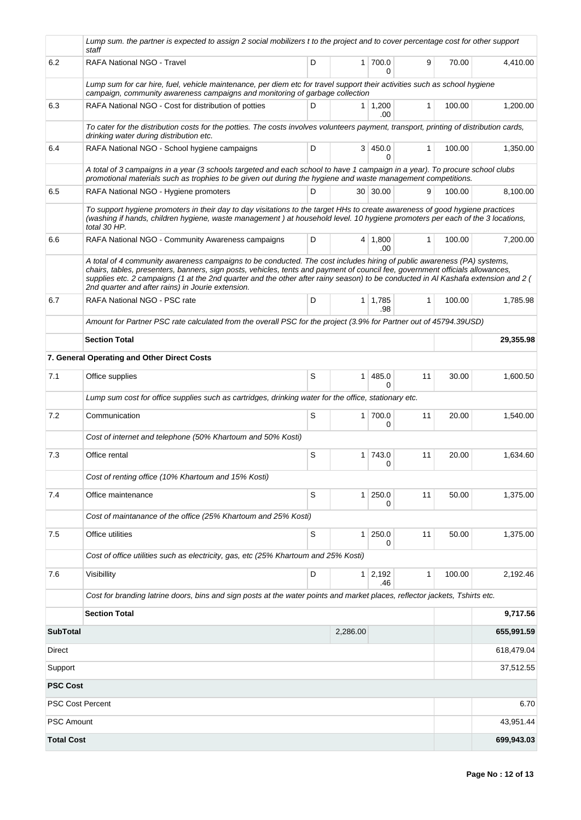|                         | Lump sum. the partner is expected to assign 2 social mobilizers t to the project and to cover percentage cost for other support<br>staff                                                                                                                                                                                                                                                                                                          |   |                |                       |              |        |            |  |
|-------------------------|---------------------------------------------------------------------------------------------------------------------------------------------------------------------------------------------------------------------------------------------------------------------------------------------------------------------------------------------------------------------------------------------------------------------------------------------------|---|----------------|-----------------------|--------------|--------|------------|--|
| 6.2                     | <b>RAFA National NGO - Travel</b>                                                                                                                                                                                                                                                                                                                                                                                                                 | D |                | 1 700.0<br>0          | 9            | 70.00  | 4,410.00   |  |
|                         | Lump sum for car hire, fuel, vehicle maintenance, per diem etc for travel support their activities such as school hygiene<br>campaign, community awareness campaigns and monitoring of garbage collection                                                                                                                                                                                                                                         |   |                |                       |              |        |            |  |
| 6.3                     | RAFA National NGO - Cost for distribution of potties                                                                                                                                                                                                                                                                                                                                                                                              | D |                | $1 \mid 1,200$<br>.00 | $\mathbf{1}$ | 100.00 | 1,200.00   |  |
|                         | To cater for the distribution costs for the potties. The costs involves volunteers payment, transport, printing of distribution cards,<br>drinking water during distribution etc.                                                                                                                                                                                                                                                                 |   |                |                       |              |        |            |  |
| 6.4                     | RAFA National NGO - School hygiene campaigns                                                                                                                                                                                                                                                                                                                                                                                                      | D |                | 3   450.0<br>0        | 1            | 100.00 | 1.350.00   |  |
|                         | A total of 3 campaigns in a year (3 schools targeted and each school to have 1 campaign in a year). To procure school clubs<br>promotional materials such as trophies to be given out during the hygiene and waste management competitions.                                                                                                                                                                                                       |   |                |                       |              |        |            |  |
| 6.5                     | RAFA National NGO - Hygiene promoters                                                                                                                                                                                                                                                                                                                                                                                                             | D |                | 30 30.00              | 9            | 100.00 | 8,100.00   |  |
|                         | To support hygiene promoters in their day to day visitations to the target HHs to create awareness of good hygiene practices<br>(washing if hands, children hygiene, waste management) at household level. 10 hygiene promoters per each of the 3 locations,<br>total 30 HP.                                                                                                                                                                      |   |                |                       |              |        |            |  |
| 6.6                     | RAFA National NGO - Community Awareness campaigns                                                                                                                                                                                                                                                                                                                                                                                                 | D |                | $4 \mid 1.800$<br>.00 | 1            | 100.00 | 7,200.00   |  |
|                         | A total of 4 community awareness campaigns to be conducted. The cost includes hiring of public awareness (PA) systems,<br>chairs, tables, presenters, banners, sign posts, vehicles, tents and payment of council fee, government officials allowances,<br>supplies etc. 2 campaigns (1 at the 2nd quarter and the other after rainy season) to be conducted in AI Kashafa extension and 2 (<br>2nd quarter and after rains) in Jourie extension. |   |                |                       |              |        |            |  |
| 6.7                     | RAFA National NGO - PSC rate                                                                                                                                                                                                                                                                                                                                                                                                                      | D |                | $1 \mid 1.785$<br>.98 | 1            | 100.00 | 1,785.98   |  |
|                         | Amount for Partner PSC rate calculated from the overall PSC for the project (3.9% for Partner out of 45794.39USD)                                                                                                                                                                                                                                                                                                                                 |   |                |                       |              |        |            |  |
|                         | <b>Section Total</b>                                                                                                                                                                                                                                                                                                                                                                                                                              |   |                |                       |              |        | 29,355.98  |  |
|                         | 7. General Operating and Other Direct Costs                                                                                                                                                                                                                                                                                                                                                                                                       |   |                |                       |              |        |            |  |
| 7.1                     | Office supplies                                                                                                                                                                                                                                                                                                                                                                                                                                   | S | 1 <sup>1</sup> | 485.0<br>0            | 11           | 30.00  | 1,600.50   |  |
|                         | Lump sum cost for office supplies such as cartridges, drinking water for the office, stationary etc.                                                                                                                                                                                                                                                                                                                                              |   |                |                       |              |        |            |  |
| 7.2                     | Communication                                                                                                                                                                                                                                                                                                                                                                                                                                     | S | 1 <sup>1</sup> | 700.0<br>0            | 11           | 20.00  | 1,540.00   |  |
|                         | Cost of internet and telephone (50% Khartoum and 50% Kosti)                                                                                                                                                                                                                                                                                                                                                                                       |   |                |                       |              |        |            |  |
| 7.3                     | Office rental                                                                                                                                                                                                                                                                                                                                                                                                                                     | S |                | 1 743.0<br>0          | 11           | 20.00  | 1,634.60   |  |
|                         | Cost of renting office (10% Khartoum and 15% Kosti)                                                                                                                                                                                                                                                                                                                                                                                               |   |                |                       |              |        |            |  |
| 7.4                     | Office maintenance                                                                                                                                                                                                                                                                                                                                                                                                                                | S |                | 1 250.0<br>0          | 11           | 50.00  | 1,375.00   |  |
|                         | Cost of maintanance of the office (25% Khartoum and 25% Kosti)                                                                                                                                                                                                                                                                                                                                                                                    |   |                |                       |              |        |            |  |
| 7.5                     | Office utilities                                                                                                                                                                                                                                                                                                                                                                                                                                  | S | 1 <sup>1</sup> | 250.0<br>0            | 11           | 50.00  | 1,375.00   |  |
|                         | Cost of office utilities such as electricity, gas, etc (25% Khartoum and 25% Kosti)                                                                                                                                                                                                                                                                                                                                                               |   |                |                       |              |        |            |  |
| 7.6                     | Visibillity                                                                                                                                                                                                                                                                                                                                                                                                                                       | D |                | $1 \mid 2,192$<br>.46 | 1            | 100.00 | 2,192.46   |  |
|                         | Cost for branding latrine doors, bins and sign posts at the water points and market places, reflector jackets, Tshirts etc.                                                                                                                                                                                                                                                                                                                       |   |                |                       |              |        |            |  |
|                         | <b>Section Total</b>                                                                                                                                                                                                                                                                                                                                                                                                                              |   |                |                       |              |        | 9,717.56   |  |
| <b>SubTotal</b>         |                                                                                                                                                                                                                                                                                                                                                                                                                                                   |   | 2,286.00       |                       |              |        | 655,991.59 |  |
| Direct                  |                                                                                                                                                                                                                                                                                                                                                                                                                                                   |   |                |                       |              |        | 618,479.04 |  |
| Support                 |                                                                                                                                                                                                                                                                                                                                                                                                                                                   |   |                |                       |              |        | 37,512.55  |  |
| <b>PSC Cost</b>         |                                                                                                                                                                                                                                                                                                                                                                                                                                                   |   |                |                       |              |        |            |  |
| <b>PSC Cost Percent</b> |                                                                                                                                                                                                                                                                                                                                                                                                                                                   |   |                |                       |              |        | 6.70       |  |
| <b>PSC Amount</b>       |                                                                                                                                                                                                                                                                                                                                                                                                                                                   |   |                |                       |              |        | 43,951.44  |  |
| <b>Total Cost</b>       |                                                                                                                                                                                                                                                                                                                                                                                                                                                   |   |                |                       |              |        | 699,943.03 |  |